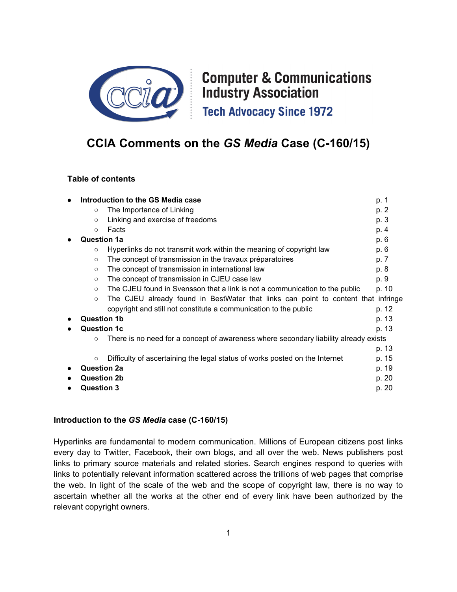

# **Computer & Communications Industry Association Tech Advocacy Since 1972**

## **CCIA Comments on the** *GS Media* **Case (C-160/15)**

#### **Table of contents**

|                    | Introduction to the GS Media case                                                    | p. 1  |
|--------------------|--------------------------------------------------------------------------------------|-------|
| $\circ$            | The Importance of Linking                                                            | p. 2  |
| $\circ$            | Linking and exercise of freedoms                                                     | p. 3  |
| $\circ$            | Facts                                                                                | p. 4  |
| <b>Question 1a</b> |                                                                                      | p. 6  |
| $\circ$            | Hyperlinks do not transmit work within the meaning of copyright law                  | p. 6  |
| $\circ$            | The concept of transmission in the travaux préparatoires                             | p. 7  |
| $\circ$            | The concept of transmission in international law                                     | p. 8  |
| $\circ$            | The concept of transmission in CJEU case law                                         | p. 9  |
| $\circ$            | The CJEU found in Svensson that a link is not a communication to the public          | p. 10 |
| $\circ$            | The CJEU already found in BestWater that links can point to content that infringe    |       |
|                    | copyright and still not constitute a communication to the public                     | p. 12 |
| <b>Question 1b</b> |                                                                                      | p. 13 |
| <b>Question 1c</b> |                                                                                      | p. 13 |
| $\circ$            | There is no need for a concept of awareness where secondary liability already exists |       |
|                    |                                                                                      | p. 13 |
| $\circ$            | Difficulty of ascertaining the legal status of works posted on the Internet          | p. 15 |
| <b>Question 2a</b> |                                                                                      | p. 19 |
| <b>Question 2b</b> |                                                                                      | p. 20 |
| <b>Question 3</b>  |                                                                                      | p. 20 |
|                    |                                                                                      |       |

#### **Introduction to the** *GS Media* **case (C-160/15)**

Hyperlinks are fundamental to modern communication. Millions of European citizens post links every day to Twitter, Facebook, their own blogs, and all over the web. News publishers post links to primary source materials and related stories. Search engines respond to queries with links to potentially relevant information scattered across the trillions of web pages that comprise the web. In light of the scale of the web and the scope of copyright law, there is no way to ascertain whether all the works at the other end of every link have been authorized by the relevant copyright owners.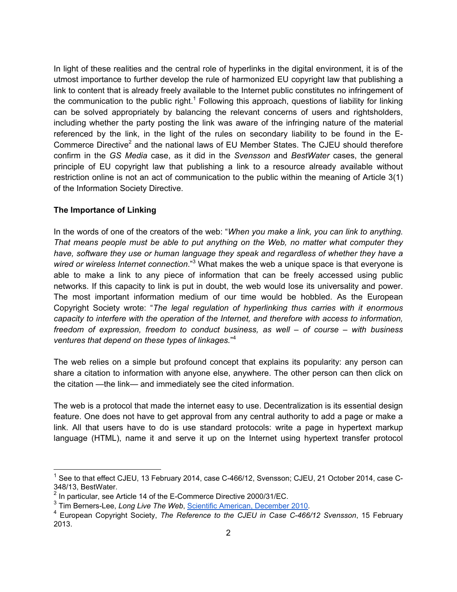In light of these realities and the central role of hyperlinks in the digital environment, it is of the utmost importance to further develop the rule of harmonized EU copyright law that publishing a link to content that is already freely available to the Internet public constitutes no infringement of the communication to the public right.<sup>1</sup> Following this approach, questions of liability for linking can be solved appropriately by balancing the relevant concerns of users and rightsholders, including whether the party posting the link was aware of the infringing nature of the material referenced by the link, in the light of the rules on secondary liability to be found in the E-Commerce Directive<sup>2</sup> and the national laws of EU Member States. The CJEU should therefore confirm in the *GS Media* case, as it did in the *Svensson* and *BestWater* cases, the general principle of EU copyright law that publishing a link to a resource already available without restriction online is not an act of communication to the public within the meaning of Article 3(1) of the Information Society Directive.

#### **The Importance of Linking**

In the words of one of the creators of the web: "*When you make a link, you can link to anything. That means people must be able to put anything on the Web, no matter what computer they have, software they use or human language they speak and regardless of whether they have a wired or wireless Internet connection*."<sup>3</sup> What makes the web a unique space is that everyone is able to make a link to any piece of information that can be freely accessed using public networks. If this capacity to link is put in doubt, the web would lose its universality and power. The most important information medium of our time would be hobbled. As the European Copyright Society wrote: "*The legal regulation of hyperlinking thus carries with it enormous capacity to interfere with the operation of the Internet, and therefore with access to information, freedom of expression, freedom to conduct business, as well – of course – with business ventures that depend on these types of linkages.*" 4

The web relies on a simple but profound concept that explains its popularity: any person can share a citation to information with anyone else, anywhere. The other person can then click on the citation —the link— and immediately see the cited information.

The web is a protocol that made the internet easy to use. Decentralization is its essential design feature. One does not have to get approval from any central authority to add a page or make a link. All that users have to do is use standard protocols: write a page in hypertext markup language (HTML), name it and serve it up on the Internet using hypertext transfer protocol

 $\frac{1}{1}$  See to that effect CJEU, 13 February 2014, case C-466/12, Svensson; CJEU, 21 October 2014, case C-348/13, BestWater.

 $^2$  In particular, see Article 14 of the E-Commerce Directive 2000/31/EC.

<sup>&</sup>lt;sup>3</sup> Tim Berners-Lee, *Long Live The Web*, Scientific American, December 2010.

<sup>4</sup> European Copyright Society, *The Reference to the CJEU in Case C-466/12 Svensson*, 15 February 2013.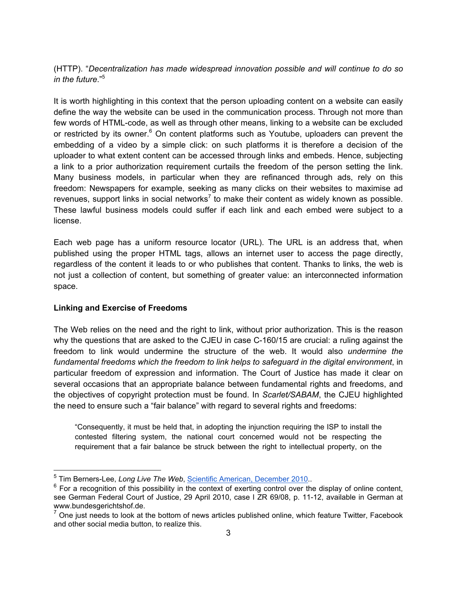(HTTP). "*Decentralization has made widespread innovation possible and will continue to do so in the future*."5

It is worth highlighting in this context that the person uploading content on a website can easily define the way the website can be used in the communication process. Through not more than few words of HTML-code, as well as through other means, linking to a website can be excluded or restricted by its owner.<sup>6</sup> On content platforms such as Youtube, uploaders can prevent the embedding of a video by a simple click: on such platforms it is therefore a decision of the uploader to what extent content can be accessed through links and embeds. Hence, subjecting a link to a prior authorization requirement curtails the freedom of the person setting the link. Many business models, in particular when they are refinanced through ads, rely on this freedom: Newspapers for example, seeking as many clicks on their websites to maximise ad revenues, support links in social networks<sup>7</sup> to make their content as widely known as possible. These lawful business models could suffer if each link and each embed were subject to a license.

Each web page has a uniform resource locator (URL). The URL is an address that, when published using the proper HTML tags, allows an internet user to access the page directly, regardless of the content it leads to or who publishes that content. Thanks to links, the web is not just a collection of content, but something of greater value: an interconnected information space.

#### **Linking and Exercise of Freedoms**

The Web relies on the need and the right to link, without prior authorization. This is the reason why the questions that are asked to the CJEU in case C-160/15 are crucial: a ruling against the freedom to link would undermine the structure of the web. It would also *undermine the fundamental freedoms which the freedom to link helps to safeguard in the digital environment*, in particular freedom of expression and information. The Court of Justice has made it clear on several occasions that an appropriate balance between fundamental rights and freedoms, and the objectives of copyright protection must be found. In *Scarlet/SABAM*, the CJEU highlighted the need to ensure such a "fair balance" with regard to several rights and freedoms:

"Consequently, it must be held that, in adopting the injunction requiring the ISP to install the contested filtering system, the national court concerned would not be respecting the requirement that a fair balance be struck between the right to intellectual property, on the

 <sup>5</sup> Tim Berners-Lee, *Long Live The Web*, Scientific American, December 2010..

 $6$  For a recognition of this possibility in the context of exerting control over the display of online content, see German Federal Court of Justice, 29 April 2010, case I ZR 69/08, p. 11-12, available in German at www.bundesgerichtshof.de.

 $<sup>7</sup>$  One just needs to look at the bottom of news articles published online, which feature Twitter, Facebook</sup> and other social media button, to realize this.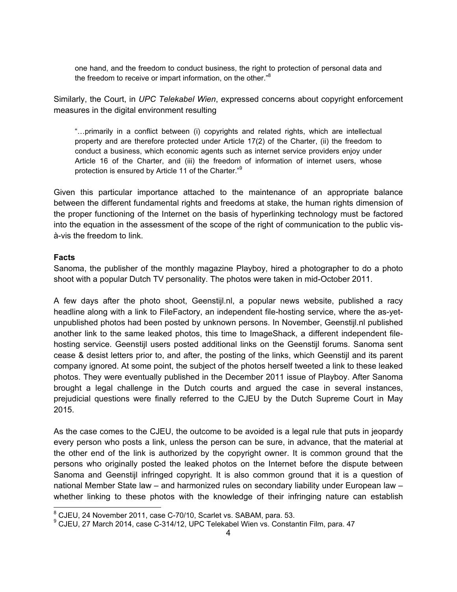one hand, and the freedom to conduct business, the right to protection of personal data and the freedom to receive or impart information, on the other."<sup>8</sup>

Similarly, the Court, in *UPC Telekabel Wien*, expressed concerns about copyright enforcement measures in the digital environment resulting

"…primarily in a conflict between (i) copyrights and related rights, which are intellectual property and are therefore protected under Article 17(2) of the Charter, (ii) the freedom to conduct a business, which economic agents such as internet service providers enjoy under Article 16 of the Charter, and (iii) the freedom of information of internet users, whose protection is ensured by Article 11 of the Charter."<sup>9</sup>

Given this particular importance attached to the maintenance of an appropriate balance between the different fundamental rights and freedoms at stake, the human rights dimension of the proper functioning of the Internet on the basis of hyperlinking technology must be factored into the equation in the assessment of the scope of the right of communication to the public visà-vis the freedom to link.

#### **Facts**

Sanoma, the publisher of the monthly magazine Playboy, hired a photographer to do a photo shoot with a popular Dutch TV personality. The photos were taken in mid-October 2011.

A few days after the photo shoot, Geenstijl.nl, a popular news website, published a racy headline along with a link to FileFactory, an independent file-hosting service, where the as-yetunpublished photos had been posted by unknown persons. In November, Geenstijl.nl published another link to the same leaked photos, this time to ImageShack, a different independent filehosting service. Geenstijl users posted additional links on the Geenstijl forums. Sanoma sent cease & desist letters prior to, and after, the posting of the links, which Geenstijl and its parent company ignored. At some point, the subject of the photos herself tweeted a link to these leaked photos. They were eventually published in the December 2011 issue of Playboy. After Sanoma brought a legal challenge in the Dutch courts and argued the case in several instances, prejudicial questions were finally referred to the CJEU by the Dutch Supreme Court in May 2015.

As the case comes to the CJEU, the outcome to be avoided is a legal rule that puts in jeopardy every person who posts a link, unless the person can be sure, in advance, that the material at the other end of the link is authorized by the copyright owner. It is common ground that the persons who originally posted the leaked photos on the Internet before the dispute between Sanoma and Geenstijl infringed copyright. It is also common ground that it is a question of national Member State law – and harmonized rules on secondary liability under European law – whether linking to these photos with the knowledge of their infringing nature can establish

<sup>&</sup>lt;sup>8</sup> CJEU, 24 November 2011, case C-70/10, Scarlet vs. SABAM, para. 53.<br><sup>9</sup> CJEU, 27 March 2014, case C-314/12, UPC Telekabel Wien vs. Constantin Film, para. 47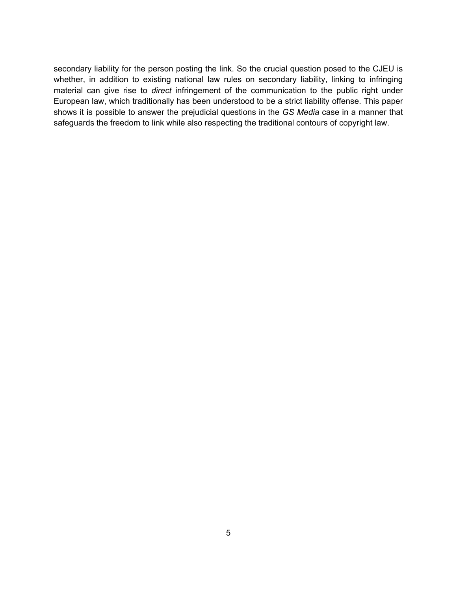secondary liability for the person posting the link. So the crucial question posed to the CJEU is whether, in addition to existing national law rules on secondary liability, linking to infringing material can give rise to *direct* infringement of the communication to the public right under European law, which traditionally has been understood to be a strict liability offense. This paper shows it is possible to answer the prejudicial questions in the *GS Media* case in a manner that safeguards the freedom to link while also respecting the traditional contours of copyright law.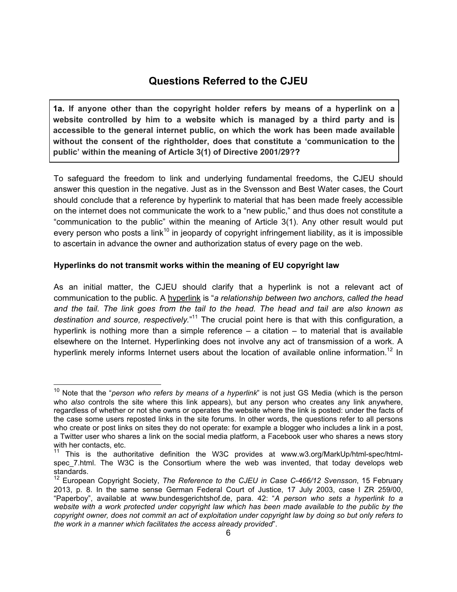### **Questions Referred to the CJEU**

**1a. If anyone other than the copyright holder refers by means of a hyperlink on a website controlled by him to a website which is managed by a third party and is accessible to the general internet public, on which the work has been made available without the consent of the rightholder, does that constitute a 'communication to the public' within the meaning of Article 3(1) of Directive 2001/29??**

To safeguard the freedom to link and underlying fundamental freedoms, the CJEU should answer this question in the negative. Just as in the Svensson and Best Water cases, the Court should conclude that a reference by hyperlink to material that has been made freely accessible on the internet does not communicate the work to a "new public," and thus does not constitute a "communication to the public" within the meaning of Article 3(1). Any other result would put every person who posts a link<sup>10</sup> in jeopardy of copyright infringement liability, as it is impossible to ascertain in advance the owner and authorization status of every page on the web.

#### **Hyperlinks do not transmit works within the meaning of EU copyright law**

As an initial matter, the CJEU should clarify that a hyperlink is not a relevant act of communication to the public. A hyperlink is "*a relationship between two anchors, called the head and the tail. The link goes from the tail to the head. The head and tail are also known as destination and source, respectively.*" 11 The crucial point here is that with this configuration, a hyperlink is nothing more than a simple reference  $-$  a citation  $-$  to material that is available elsewhere on the Internet. Hyperlinking does not involve any act of transmission of a work. A hyperlink merely informs Internet users about the location of available online information.<sup>12</sup> In

 <sup>10</sup> Note that the "*person who refers by means of a hyperlink*" is not just GS Media (which is the person who *also* controls the site where this link appears), but any person who creates any link anywhere, regardless of whether or not she owns or operates the website where the link is posted: under the facts of the case some users reposted links in the site forums. In other words, the questions refer to all persons who create or post links on sites they do not operate: for example a blogger who includes a link in a post, a Twitter user who shares a link on the social media platform, a Facebook user who shares a news story with her contacts, etc.

<sup>&</sup>lt;sup>11</sup> This is the authoritative definition the W3C provides at www.w3.org/MarkUp/html-spec/htmlspec 7.html. The W3C is the Consortium where the web was invented, that today develops web standards.

<sup>12</sup> European Copyright Society, *The Reference to the CJEU in Case C-466/12 Svensson*, 15 February 2013, p. 8. In the same sense German Federal Court of Justice, 17 July 2003, case I ZR 259/00, "Paperboy", available at www.bundesgerichtshof.de, para. 42: "*A person who sets a hyperlink to a*  website with a work protected under copyright law which has been made available to the public by the *copyright owner, does not commit an act of exploitation under copyright law by doing so but only refers to the work in a manner which facilitates the access already provided*".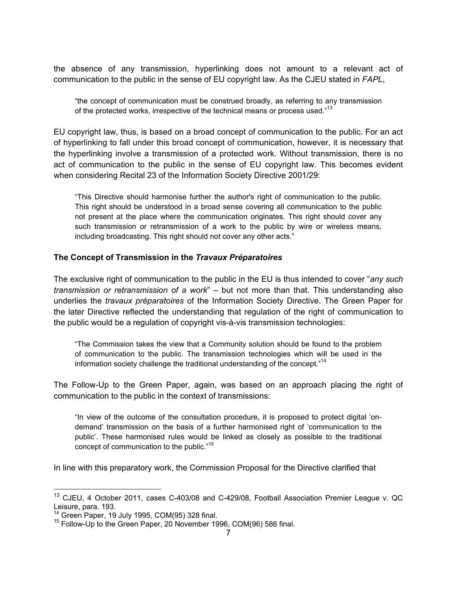the absence of any transmission, hyperlinking does not amount to a relevant act of communication to the public in the sense of EU copyright law. As the CJEU stated in *FAPL*,

"the concept of communication must be construed broadly, as referring to any transmission of the protected works, irrespective of the technical means or process used."<sup>13</sup>

EU copyright law, thus, is based on a broad concept of communication to the public. For an act of hyperlinking to fall under this broad concept of communication, however, it is necessary that the hyperlinking involve a transmission of a protected work. Without transmission, there is no act of communication to the public in the sense of EU copyright law. This becomes evident when considering Recital 23 of the Information Society Directive 2001/29:

"This Directive should harmonise further the author's right of communication to the public. This right should be understood in a broad sense covering all communication to the public not present at the place where the communication originates. This right should cover any such transmission or retransmission of a work to the public by wire or wireless means, including broadcasting. This right should not cover any other acts."

#### **The Concept of Transmission in the** *Travaux Préparatoires*

The exclusive right of communication to the public in the EU is thus intended to cover "*any such transmission or retransmission of a work*" – but not more than that. This understanding also underlies the *travaux préparatoires* of the Information Society Directive. The Green Paper for the later Directive reflected the understanding that regulation of the right of communication to the public would be a regulation of copyright vis-à-vis transmission technologies:

"The Commission takes the view that a Community solution should be found to the problem of communication to the public. The transmission technologies which will be used in the information society challenge the traditional understanding of the concept."<sup>14</sup>

The Follow-Up to the Green Paper, again, was based on an approach placing the right of communication to the public in the context of transmissions:

"In view of the outcome of the consultation procedure, it is proposed to protect digital 'ondemand' transmission on the basis of a further harmonised right of 'communication to the public'. These harmonised rules would be linked as closely as possible to the traditional concept of communication to the public."<sup>15</sup>

In line with this preparatory work, the Commission Proposal for the Directive clarified that

 <sup>13</sup> CJEU, 4 October 2011, cases C-403/08 and C-429/08, Football Association Premier League v. QC Leisure, para. 193.<br><sup>14</sup> Green Paper, 19 July 1995, COM(95) 328 final.

 $15$  Follow-Up to the Green Paper, 20 November 1996, COM(96) 586 final.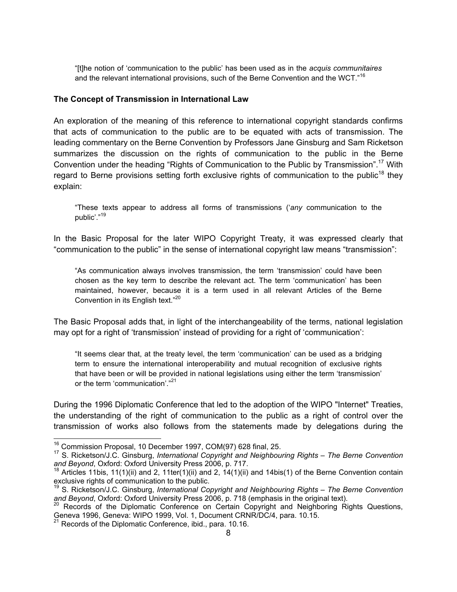"[t]he notion of 'communication to the public' has been used as in the *acquis communitaires* and the relevant international provisions, such of the Berne Convention and the WCT."<sup>16</sup>

#### **The Concept of Transmission in International Law**

An exploration of the meaning of this reference to international copyright standards confirms that acts of communication to the public are to be equated with acts of transmission. The leading commentary on the Berne Convention by Professors Jane Ginsburg and Sam Ricketson summarizes the discussion on the rights of communication to the public in the Berne Convention under the heading "Rights of Communication to the Public by Transmission".<sup>17</sup> With regard to Berne provisions setting forth exclusive rights of communication to the public<sup>18</sup> they explain:

"These texts appear to address all forms of transmissions ('*any* communication to the public'."19

In the Basic Proposal for the later WIPO Copyright Treaty, it was expressed clearly that "communication to the public" in the sense of international copyright law means "transmission":

"As communication always involves transmission, the term 'transmission' could have been chosen as the key term to describe the relevant act. The term 'communication' has been maintained, however, because it is a term used in all relevant Articles of the Berne Convention in its English text."<sup>20</sup>

The Basic Proposal adds that, in light of the interchangeability of the terms, national legislation may opt for a right of 'transmission' instead of providing for a right of 'communication':

"It seems clear that, at the treaty level, the term 'communication' can be used as a bridging term to ensure the international interoperability and mutual recognition of exclusive rights that have been or will be provided in national legislations using either the term 'transmission' or the term 'communication'."<sup>21</sup>

During the 1996 Diplomatic Conference that led to the adoption of the WIPO "Internet" Treaties, the understanding of the right of communication to the public as a right of control over the transmission of works also follows from the statements made by delegations during the

<sup>&</sup>lt;sup>16</sup> Commission Proposal, 10 December 1997, COM(97) 628 final, 25.<br><sup>17</sup> S. Ricketson/J.C. Ginsburg, *International Copyright and Neighbouring Rights – The Berne Convention*<br>*and Beyond*, Oxford: Oxford University Press 200

<sup>&</sup>lt;sup>18</sup> Articles 11bis, 11(1)(ii) and 2, 11ter(1)(ii) and 2, 14(1)(ii) and 14bis(1) of the Berne Convention contain exclusive rights of communication to the public.

<sup>19</sup> S. Ricketson/J.C. Ginsburg, *International Copyright and Neighbouring Rights – The Berne Convention*  and Beyond, Oxford: Oxford University Press 2006, p. 718 (emphasis in the original text).<br><sup>20</sup> Records of the Diplomatic Conference on Certain Copyright and Neighboring Rights Questions,

Geneva 1996, Geneva: WIPO 1999, Vol. 1, Document CRNR/DC/4, para. 10.15.

<sup>21</sup> Records of the Diplomatic Conference, ibid., para. 10.16.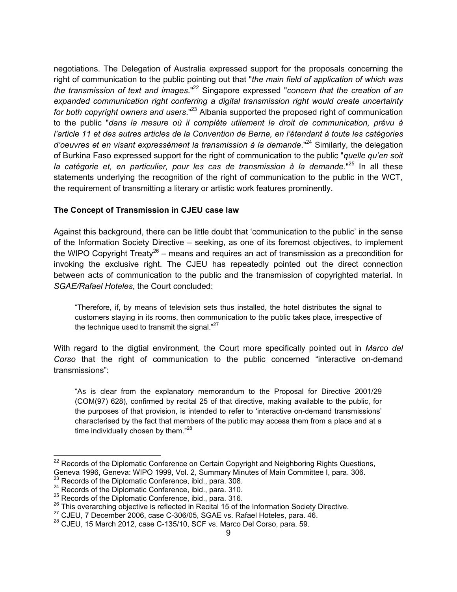negotiations. The Delegation of Australia expressed support for the proposals concerning the right of communication to the public pointing out that "*the main field of application of which was the transmission of text and images*." 22 Singapore expressed "*concern that the creation of an expanded communication right conferring a digital transmission right would create uncertainty for both copyright owners and users*." <sup>23</sup> Albania supported the proposed right of communication to the public "*dans la mesure où il complète utilement le droit de communication, prévu à l'article 11 et des autres articles de la Convention de Berne, en l'étendant à toute les catégories d'oeuvres et en visant expressément la transmission à la demande*." 24 Similarly, the delegation of Burkina Faso expressed support for the right of communication to the public "*quelle qu'en soit la catégorie et, en particulier, pour les cas de transmission à la demande*." <sup>25</sup> In all these statements underlying the recognition of the right of communication to the public in the WCT, the requirement of transmitting a literary or artistic work features prominently.

#### **The Concept of Transmission in CJEU case law**

Against this background, there can be little doubt that 'communication to the public' in the sense of the Information Society Directive – seeking, as one of its foremost objectives, to implement the WIPO Copyright Treaty<sup>26</sup> – means and requires an act of transmission as a precondition for invoking the exclusive right. The CJEU has repeatedly pointed out the direct connection between acts of communication to the public and the transmission of copyrighted material. In *SGAE/Rafael Hoteles*, the Court concluded:

"Therefore, if, by means of television sets thus installed, the hotel distributes the signal to customers staying in its rooms, then communication to the public takes place, irrespective of the technique used to transmit the signal."<sup>27</sup>

With regard to the digtial environment, the Court more specifically pointed out in *Marco del Corso* that the right of communication to the public concerned "interactive on-demand transmissions":

"As is clear from the explanatory memorandum to the Proposal for Directive 2001/29 (COM(97) 628), confirmed by recital 25 of that directive, making available to the public, for the purposes of that provision, is intended to refer to 'interactive on-demand transmissions' characterised by the fact that members of the public may access them from a place and at a time individually chosen by them."<sup>28</sup>

 $22$  Records of the Diplomatic Conference on Certain Copyright and Neighboring Rights Questions, Geneva 1996, Geneva: WIPO 1999, Vol. 2, Summary Minutes of Main Committee I, para. 306.<br><sup>23</sup> Records of the Diplomatic Conference, ibid., para. 308.

<sup>&</sup>lt;sup>24</sup> Records of the Diplomatic Conference, ibid., para. 310.<br>
<sup>25</sup> Records of the Diplomatic Conference, ibid., para. 316.<br>
<sup>25</sup> This overarching objective is reflected in Recital 15 of the Information Society Directive.<br>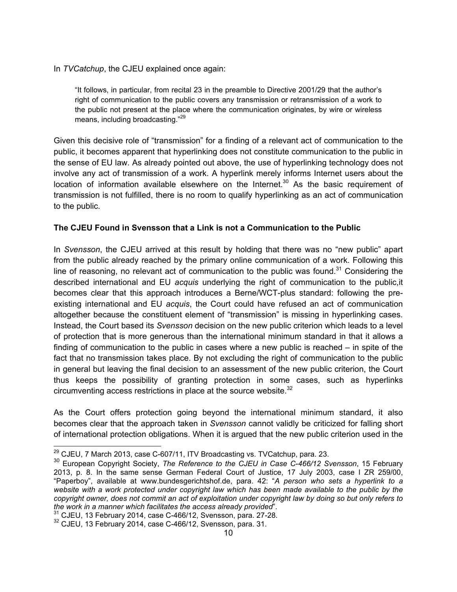In *TVCatchup*, the CJEU explained once again:

"It follows, in particular, from recital 23 in the preamble to Directive 2001/29 that the author's right of communication to the public covers any transmission or retransmission of a work to the public not present at the place where the communication originates, by wire or wireless means, including broadcasting."<sup>29</sup>

Given this decisive role of "transmission" for a finding of a relevant act of communication to the public, it becomes apparent that hyperlinking does not constitute communication to the public in the sense of EU law. As already pointed out above, the use of hyperlinking technology does not involve any act of transmission of a work. A hyperlink merely informs Internet users about the location of information available elsewhere on the Internet.<sup>30</sup> As the basic requirement of transmission is not fulfilled, there is no room to qualify hyperlinking as an act of communication to the public.

#### **The CJEU Found in Svensson that a Link is not a Communication to the Public**

In *Svensson*, the CJEU arrived at this result by holding that there was no "new public" apart from the public already reached by the primary online communication of a work. Following this line of reasoning, no relevant act of communication to the public was found.<sup>31</sup> Considering the described international and EU *acquis* underlying the right of communication to the public,it becomes clear that this approach introduces a Berne/WCT-plus standard: following the preexisting international and EU *acquis*, the Court could have refused an act of communication altogether because the constituent element of "transmission" is missing in hyperlinking cases. Instead, the Court based its *Svensson* decision on the new public criterion which leads to a level of protection that is more generous than the international minimum standard in that it allows a finding of communication to the public in cases where a new public is reached – in spite of the fact that no transmission takes place. By not excluding the right of communication to the public in general but leaving the final decision to an assessment of the new public criterion, the Court thus keeps the possibility of granting protection in some cases, such as hyperlinks circumventing access restrictions in place at the source website. $32$ 

As the Court offers protection going beyond the international minimum standard, it also becomes clear that the approach taken in *Svensson* cannot validly be criticized for falling short of international protection obligations. When it is argued that the new public criterion used in the

<sup>&</sup>lt;sup>29</sup> CJEU, 7 March 2013, case C-607/11, ITV Broadcasting vs. TVCatchup, para. 23.

<sup>30</sup> European Copyright Society, *The Reference to the CJEU in Case C-466/12 Svensson*, 15 February 2013, p. 8. In the same sense German Federal Court of Justice, 17 July 2003, case I ZR 259/00, "Paperboy", available at www.bundesgerichtshof.de, para. 42: "*A person who sets a hyperlink to a*  website with a work protected under copyright law which has been made available to the public by the *copyright owner, does not commit an act of exploitation under copyright law by doing so but only refers to the work in a manner which facilitates the access already provided*".

 $31$  CJEU, 13 February 2014, case C-466/12, Svensson, para. 27-28.

<sup>&</sup>lt;sup>32</sup> CJEU, 13 February 2014, case C-466/12, Svensson, para. 31.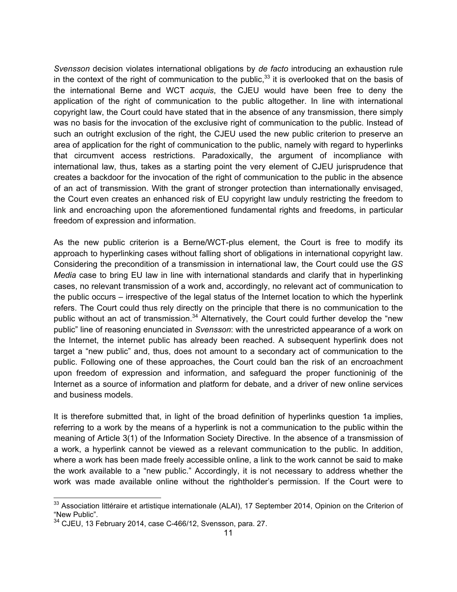*Svensson* decision violates international obligations by *de facto* introducing an exhaustion rule in the context of the right of communication to the public, $33$  it is overlooked that on the basis of the international Berne and WCT *acquis*, the CJEU would have been free to deny the application of the right of communication to the public altogether. In line with international copyright law, the Court could have stated that in the absence of any transmission, there simply was no basis for the invocation of the exclusive right of communication to the public. Instead of such an outright exclusion of the right, the CJEU used the new public criterion to preserve an area of application for the right of communication to the public, namely with regard to hyperlinks that circumvent access restrictions. Paradoxically, the argument of incompliance with international law, thus, takes as a starting point the very element of CJEU jurisprudence that creates a backdoor for the invocation of the right of communication to the public in the absence of an act of transmission. With the grant of stronger protection than internationally envisaged, the Court even creates an enhanced risk of EU copyright law unduly restricting the freedom to link and encroaching upon the aforementioned fundamental rights and freedoms, in particular freedom of expression and information.

As the new public criterion is a Berne/WCT-plus element, the Court is free to modify its approach to hyperlinking cases without falling short of obligations in international copyright law. Considering the precondition of a transmission in international law, the Court could use the *GS Media* case to bring EU law in line with international standards and clarify that in hyperlinking cases, no relevant transmission of a work and, accordingly, no relevant act of communication to the public occurs – irrespective of the legal status of the Internet location to which the hyperlink refers. The Court could thus rely directly on the principle that there is no communication to the public without an act of transmission.<sup>34</sup> Alternatively, the Court could further develop the "new public" line of reasoning enunciated in *Svensson*: with the unrestricted appearance of a work on the Internet, the internet public has already been reached. A subsequent hyperlink does not target a "new public" and, thus, does not amount to a secondary act of communication to the public. Following one of these approaches, the Court could ban the risk of an encroachment upon freedom of expression and information, and safeguard the proper functioninig of the Internet as a source of information and platform for debate, and a driver of new online services and business models.

It is therefore submitted that, in light of the broad definition of hyperlinks question 1a implies, referring to a work by the means of a hyperlink is not a communication to the public within the meaning of Article 3(1) of the Information Society Directive. In the absence of a transmission of a work, a hyperlink cannot be viewed as a relevant communication to the public. In addition, where a work has been made freely accessible online, a link to the work cannot be said to make the work available to a "new public." Accordingly, it is not necessary to address whether the work was made available online without the rightholder's permission. If the Court were to

<sup>33</sup> Association littéraire et artistique internationale (ALAI), 17 September 2014, Opinion on the Criterion of "New Public".<br><sup>34</sup> CJEU, 13 February 2014, case C-466/12, Svensson, para. 27.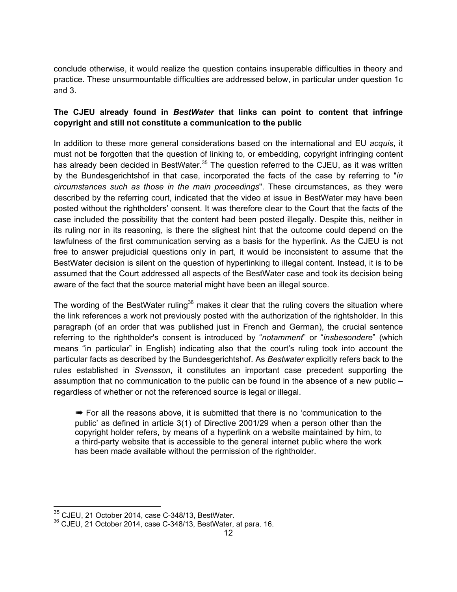conclude otherwise, it would realize the question contains insuperable difficulties in theory and practice. These unsurmountable difficulties are addressed below, in particular under question 1c and 3.

#### **The CJEU already found in** *BestWater* **that links can point to content that infringe copyright and still not constitute a communication to the public**

In addition to these more general considerations based on the international and EU *acquis*, it must not be forgotten that the question of linking to, or embedding, copyright infringing content has already been decided in BestWater.<sup>35</sup> The question referred to the CJEU, as it was written by the Bundesgerichtshof in that case, incorporated the facts of the case by referring to "*in circumstances such as those in the main proceedings*". These circumstances, as they were described by the referring court, indicated that the video at issue in BestWater may have been posted without the rightholders' consent. It was therefore clear to the Court that the facts of the case included the possibility that the content had been posted illegally. Despite this, neither in its ruling nor in its reasoning, is there the slighest hint that the outcome could depend on the lawfulness of the first communication serving as a basis for the hyperlink. As the CJEU is not free to answer prejudicial questions only in part, it would be inconsistent to assume that the BestWater decision is silent on the question of hyperlinking to illegal content. Instead, it is to be assumed that the Court addressed all aspects of the BestWater case and took its decision being aware of the fact that the source material might have been an illegal source.

The wording of the BestWater ruling<sup>36</sup> makes it clear that the ruling covers the situation where the link references a work not previously posted with the authorization of the rightsholder. In this paragraph (of an order that was published just in French and German), the crucial sentence referring to the rightholder's consent is introduced by "*notamment*" or "*insbesondere*" (which means "in particular" in English) indicating also that the court's ruling took into account the particular facts as described by the Bundesgerichtshof. As *Bestwater* explicitly refers back to the rules established in *Svensson*, it constitutes an important case precedent supporting the assumption that no communication to the public can be found in the absence of a new public – regardless of whether or not the referenced source is legal or illegal.

➠ For all the reasons above, it is submitted that there is no 'communication to the public' as defined in article 3(1) of Directive 2001/29 when a person other than the copyright holder refers, by means of a hyperlink on a website maintained by him, to a third-party website that is accessible to the general internet public where the work has been made available without the permission of the rightholder.

 <sup>35</sup> CJEU, 21 October 2014, case C-348/13, BestWater.

 $36$  CJEU, 21 October 2014, case C-348/13, BestWater, at para. 16.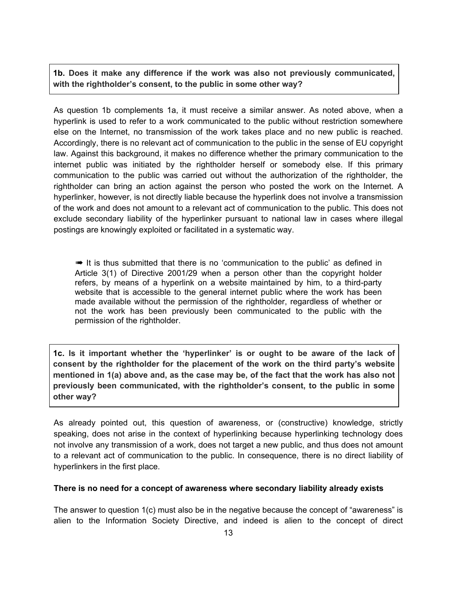**1b. Does it make any difference if the work was also not previously communicated, with the rightholder's consent, to the public in some other way?**

As question 1b complements 1a, it must receive a similar answer. As noted above, when a hyperlink is used to refer to a work communicated to the public without restriction somewhere else on the Internet, no transmission of the work takes place and no new public is reached. Accordingly, there is no relevant act of communication to the public in the sense of EU copyright law. Against this background, it makes no difference whether the primary communication to the internet public was initiated by the rightholder herself or somebody else. If this primary communication to the public was carried out without the authorization of the rightholder, the rightholder can bring an action against the person who posted the work on the Internet. A hyperlinker, however, is not directly liable because the hyperlink does not involve a transmission of the work and does not amount to a relevant act of communication to the public. This does not exclude secondary liability of the hyperlinker pursuant to national law in cases where illegal postings are knowingly exploited or facilitated in a systematic way.

➠ It is thus submitted that there is no 'communication to the public' as defined in Article 3(1) of Directive 2001/29 when a person other than the copyright holder refers, by means of a hyperlink on a website maintained by him, to a third-party website that is accessible to the general internet public where the work has been made available without the permission of the rightholder, regardless of whether or not the work has been previously been communicated to the public with the permission of the rightholder.

**1c. Is it important whether the 'hyperlinker' is or ought to be aware of the lack of consent by the rightholder for the placement of the work on the third party's website mentioned in 1(a) above and, as the case may be, of the fact that the work has also not previously been communicated, with the rightholder's consent, to the public in some other way?**

As already pointed out, this question of awareness, or (constructive) knowledge, strictly speaking, does not arise in the context of hyperlinking because hyperlinking technology does not involve any transmission of a work, does not target a new public, and thus does not amount to a relevant act of communication to the public. In consequence, there is no direct liability of hyperlinkers in the first place.

#### **There is no need for a concept of awareness where secondary liability already exists**

The answer to question 1(c) must also be in the negative because the concept of "awareness" is alien to the Information Society Directive, and indeed is alien to the concept of direct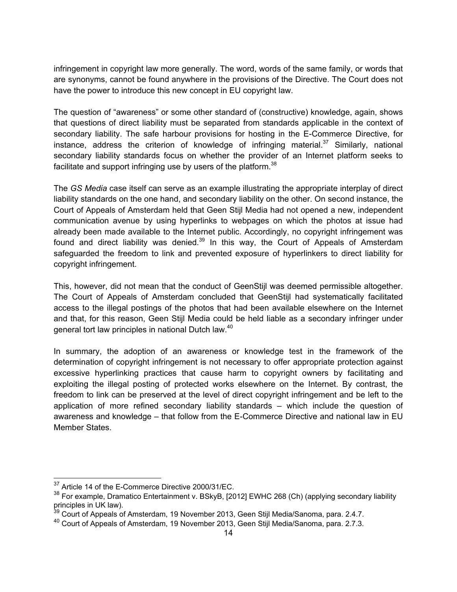infringement in copyright law more generally. The word, words of the same family, or words that are synonyms, cannot be found anywhere in the provisions of the Directive. The Court does not have the power to introduce this new concept in EU copyright law.

The question of "awareness" or some other standard of (constructive) knowledge, again, shows that questions of direct liability must be separated from standards applicable in the context of secondary liability. The safe harbour provisions for hosting in the E-Commerce Directive, for instance, address the criterion of knowledge of infringing material.<sup>37</sup> Similarly, national secondary liability standards focus on whether the provider of an Internet platform seeks to facilitate and support infringing use by users of the platform.<sup>38</sup>

The *GS Media* case itself can serve as an example illustrating the appropriate interplay of direct liability standards on the one hand, and secondary liability on the other. On second instance, the Court of Appeals of Amsterdam held that Geen Stijl Media had not opened a new, independent communication avenue by using hyperlinks to webpages on which the photos at issue had already been made available to the Internet public. Accordingly, no copyright infringement was found and direct liability was denied.<sup>39</sup> In this way, the Court of Appeals of Amsterdam safeguarded the freedom to link and prevented exposure of hyperlinkers to direct liability for copyright infringement.

This, however, did not mean that the conduct of GeenStijl was deemed permissible altogether. The Court of Appeals of Amsterdam concluded that GeenStijl had systematically facilitated access to the illegal postings of the photos that had been available elsewhere on the Internet and that, for this reason, Geen Stijl Media could be held liable as a secondary infringer under general tort law principles in national Dutch law.<sup>40</sup>

In summary, the adoption of an awareness or knowledge test in the framework of the determination of copyright infringement is not necessary to offer appropriate protection against excessive hyperlinking practices that cause harm to copyright owners by facilitating and exploiting the illegal posting of protected works elsewhere on the Internet. By contrast, the freedom to link can be preserved at the level of direct copyright infringement and be left to the application of more refined secondary liability standards – which include the question of awareness and knowledge – that follow from the E-Commerce Directive and national law in EU Member States.

<sup>&</sup>lt;sup>37</sup> Article 14 of the E-Commerce Directive 2000/31/EC.

<sup>38</sup> For example, Dramatico Entertainment v. BSkyB, [2012] EWHC 268 (Ch) (applying secondary liability principles in UK law).

 $^{39}$  Court of Appeals of Amsterdam, 19 November 2013, Geen Stijl Media/Sanoma, para. 2.4.7.

<sup>40</sup> Court of Appeals of Amsterdam, 19 November 2013, Geen Stijl Media/Sanoma, para. 2.7.3.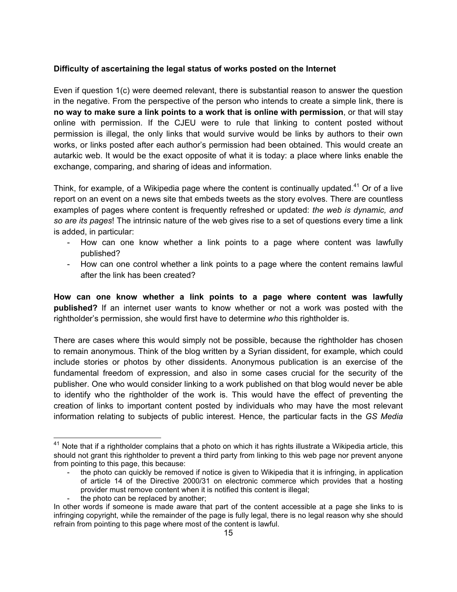#### **Difficulty of ascertaining the legal status of works posted on the Internet**

Even if question 1(c) were deemed relevant, there is substantial reason to answer the question in the negative. From the perspective of the person who intends to create a simple link, there is **no way to make sure a link points to a work that is online with permission**, or that will stay online with permission. If the CJEU were to rule that linking to content posted without permission is illegal, the only links that would survive would be links by authors to their own works, or links posted after each author's permission had been obtained. This would create an autarkic web. It would be the exact opposite of what it is today: a place where links enable the exchange, comparing, and sharing of ideas and information.

Think, for example, of a Wikipedia page where the content is continually updated.<sup>41</sup> Or of a live report on an event on a news site that embeds tweets as the story evolves. There are countless examples of pages where content is frequently refreshed or updated: *the web is dynamic, and so are its pages*! The intrinsic nature of the web gives rise to a set of questions every time a link is added, in particular:

- How can one know whether a link points to a page where content was lawfully published?
- How can one control whether a link points to a page where the content remains lawful after the link has been created?

**How can one know whether a link points to a page where content was lawfully published?** If an internet user wants to know whether or not a work was posted with the rightholder's permission, she would first have to determine *who* this rightholder is.

There are cases where this would simply not be possible, because the rightholder has chosen to remain anonymous. Think of the blog written by a Syrian dissident, for example, which could include stories or photos by other dissidents. Anonymous publication is an exercise of the fundamental freedom of expression, and also in some cases crucial for the security of the publisher. One who would consider linking to a work published on that blog would never be able to identify who the rightholder of the work is. This would have the effect of preventing the creation of links to important content posted by individuals who may have the most relevant information relating to subjects of public interest. Hence, the particular facts in the *GS Media*

 $41$  Note that if a rightholder complains that a photo on which it has rights illustrate a Wikipedia article, this should not grant this rightholder to prevent a third party from linking to this web page nor prevent anyone from pointing to this page, this because:

the photo can quickly be removed if notice is given to Wikipedia that it is infringing, in application of article 14 of the Directive 2000/31 on electronic commerce which provides that a hosting provider must remove content when it is notified this content is illegal;

the photo can be replaced by another;

In other words if someone is made aware that part of the content accessible at a page she links to is infringing copyright, while the remainder of the page is fully legal, there is no legal reason why she should refrain from pointing to this page where most of the content is lawful.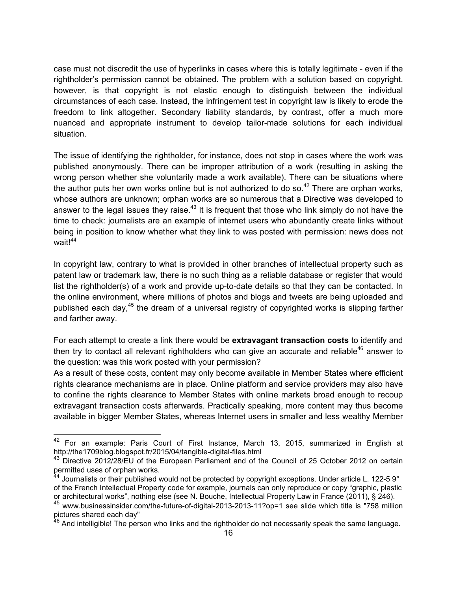case must not discredit the use of hyperlinks in cases where this is totally legitimate - even if the rightholder's permission cannot be obtained. The problem with a solution based on copyright, however, is that copyright is not elastic enough to distinguish between the individual circumstances of each case. Instead, the infringement test in copyright law is likely to erode the freedom to link altogether. Secondary liability standards, by contrast, offer a much more nuanced and appropriate instrument to develop tailor-made solutions for each individual situation.

The issue of identifying the rightholder, for instance, does not stop in cases where the work was published anonymously. There can be improper attribution of a work (resulting in asking the wrong person whether she voluntarily made a work available). There can be situations where the author puts her own works online but is not authorized to do so. $42$  There are orphan works, whose authors are unknown; orphan works are so numerous that a Directive was developed to answer to the legal issues they raise. $^{43}$  It is frequent that those who link simply do not have the time to check: journalists are an example of internet users who abundantly create links without being in position to know whether what they link to was posted with permission: news does not wait!<sup>44</sup>

In copyright law, contrary to what is provided in other branches of intellectual property such as patent law or trademark law, there is no such thing as a reliable database or register that would list the rightholder(s) of a work and provide up-to-date details so that they can be contacted. In the online environment, where millions of photos and blogs and tweets are being uploaded and published each day,<sup>45</sup> the dream of a universal registry of copyrighted works is slipping farther and farther away.

For each attempt to create a link there would be **extravagant transaction costs** to identify and then try to contact all relevant rightholders who can give an accurate and reliable $46$  answer to the question: was this work posted with your permission?

As a result of these costs, content may only become available in Member States where efficient rights clearance mechanisms are in place. Online platform and service providers may also have to confine the rights clearance to Member States with online markets broad enough to recoup extravagant transaction costs afterwards. Practically speaking, more content may thus become available in bigger Member States, whereas Internet users in smaller and less wealthy Member

 <sup>42</sup> For an example: Paris Court of First Instance, March 13, 2015, summarized in English at http://the1709blog.blogspot.fr/2015/04/tangible-digital-files.html

<sup>&</sup>lt;sup>43</sup> Directive 2012/28/EU of the European Parliament and of the Council of 25 October 2012 on certain permitted uses of orphan works.

 $^{44}$  Journalists or their published would not be protected by copyright exceptions. Under article L. 122-5 9°

of the French Intellectual Property code for example, journals can only reproduce or copy "graphic, plastic or architectural works", nothing else (see N. Bouche, Intellectual Property Law in France (2011), § 246).

<sup>45</sup> www.businessinsider.com/the-future-of-digital-2013-2013-11?op=1 see slide which title is "758 million pictures shared each day"

<sup>&</sup>lt;sup>46</sup> And intelligible! The person who links and the rightholder do not necessarily speak the same language.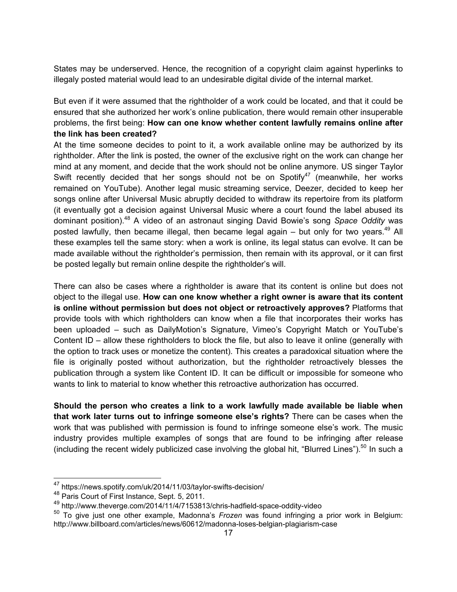States may be underserved. Hence, the recognition of a copyright claim against hyperlinks to illegaly posted material would lead to an undesirable digital divide of the internal market.

But even if it were assumed that the rightholder of a work could be located, and that it could be ensured that she authorized her work's online publication, there would remain other insuperable problems, the first being: **How can one know whether content lawfully remains online after the link has been created?**

At the time someone decides to point to it, a work available online may be authorized by its rightholder. After the link is posted, the owner of the exclusive right on the work can change her mind at any moment, and decide that the work should not be online anymore. US singer Taylor Swift recently decided that her songs should not be on Spotify<sup>47</sup> (meanwhile, her works remained on YouTube). Another legal music streaming service, Deezer, decided to keep her songs online after Universal Music abruptly decided to withdraw its repertoire from its platform (it eventually got a decision against Universal Music where a court found the label abused its dominant position). 48 A video of an astronaut singing David Bowie's song *Space Oddity* was posted lawfully, then became illegal, then became legal again – but only for two years.<sup>49</sup> All these examples tell the same story: when a work is online, its legal status can evolve. It can be made available without the rightholder's permission, then remain with its approval, or it can first be posted legally but remain online despite the rightholder's will.

There can also be cases where a rightholder is aware that its content is online but does not object to the illegal use. **How can one know whether a right owner is aware that its content is online without permission but does not object or retroactively approves?** Platforms that provide tools with which rightholders can know when a file that incorporates their works has been uploaded – such as DailyMotion's Signature, Vimeo's Copyright Match or YouTube's Content ID – allow these rightholders to block the file, but also to leave it online (generally with the option to track uses or monetize the content). This creates a paradoxical situation where the file is originally posted without authorization, but the rightholder retroactively blesses the publication through a system like Content ID. It can be difficult or impossible for someone who wants to link to material to know whether this retroactive authorization has occurred.

**Should the person who creates a link to a work lawfully made available be liable when that work later turns out to infringe someone else's rights?** There can be cases when the work that was published with permission is found to infringe someone else's work. The music industry provides multiple examples of songs that are found to be infringing after release (including the recent widely publicized case involving the global hit, "Blurred Lines").<sup>50</sup> In such a

 <sup>47</sup> https://news.spotify.com/uk/2014/11/03/taylor-swifts-decision/

<sup>48</sup> Paris Court of First Instance, Sept. 5, 2011.

<sup>49</sup> http://www.theverge.com/2014/11/4/7153813/chris-hadfield-space-oddity-video

<sup>50</sup> To give just one other example, Madonna's *Frozen* was found infringing a prior work in Belgium: http://www.billboard.com/articles/news/60612/madonna-loses-belgian-plagiarism-case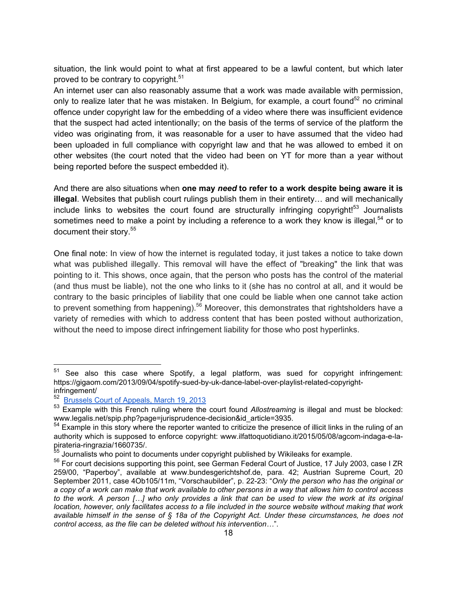situation, the link would point to what at first appeared to be a lawful content, but which later proved to be contrary to copyright.<sup>51</sup>

An internet user can also reasonably assume that a work was made available with permission, only to realize later that he was mistaken. In Belgium, for example, a court found<sup>52</sup> no criminal offence under copyright law for the embedding of a video where there was insufficient evidence that the suspect had acted intentionally; on the basis of the terms of service of the platform the video was originating from, it was reasonable for a user to have assumed that the video had been uploaded in full compliance with copyright law and that he was allowed to embed it on other websites (the court noted that the video had been on YT for more than a year without being reported before the suspect embedded it).

And there are also situations when **one may** *need* **to refer to a work despite being aware it is illegal**. Websites that publish court rulings publish them in their entirety… and will mechanically include links to websites the court found are structurally infringing copyright!<sup>53</sup> Journalists sometimes need to make a point by including a reference to a work they know is illegal,<sup>54</sup> or to document their story.<sup>55</sup>

One final note: In view of how the internet is regulated today, it just takes a notice to take down what was published illegally. This removal will have the effect of "breaking" the link that was pointing to it. This shows, once again, that the person who posts has the control of the material (and thus must be liable), not the one who links to it (she has no control at all, and it would be contrary to the basic principles of liability that one could be liable when one cannot take action to prevent something from happening).<sup>56</sup> Moreover, this demonstrates that rightsholders have a variety of remedies with which to address content that has been posted without authorization, without the need to impose direct infringement liability for those who post hyperlinks.

<sup>&</sup>lt;sup>51</sup> See also this case where Spotify, a legal platform, was sued for copyright infringement: https://gigaom.com/2013/09/04/spotify-sued-by-uk-dance-label-over-playlist-related-copyrightinfringement/

<sup>52</sup> Brussels Court of Appeals, March 19, 2013

<sup>53</sup> Example with this French ruling where the court found *Allostreaming* is illegal and must be blocked: www.legalis.net/spip.php?page=jurisprudence-decision&id\_article=3935.

<sup>&</sup>lt;sup>54</sup> Example in this story where the reporter wanted to criticize the presence of illicit links in the ruling of an authority which is supposed to enforce copyright: www.ilfattoquotidiano.it/2015/05/08/agcom-indaga-e-lapirateria-ringrazia/1660735/.

<sup>&</sup>lt;sup>55</sup> Journalists who point to documents under copyright published by Wikileaks for example.

<sup>&</sup>lt;sup>56</sup> For court decisions supporting this point, see German Federal Court of Justice, 17 July 2003, case I ZR 259/00, "Paperboy", available at www.bundesgerichtshof.de, para. 42; Austrian Supreme Court, 20 September 2011, case 4Ob105/11m, "Vorschaubilder", p. 22-23: "*Only the person who has the original or a copy of a work can make that work available to other persons in a way that allows him to control access to the work. A person […] who only provides a link that can be used to view the work at its original location, however, only facilitates access to a file included in the source website without making that work available himself in the sense of § 18a of the Copyright Act. Under these circumstances, he does not control access, as the file can be deleted without his intervention…*".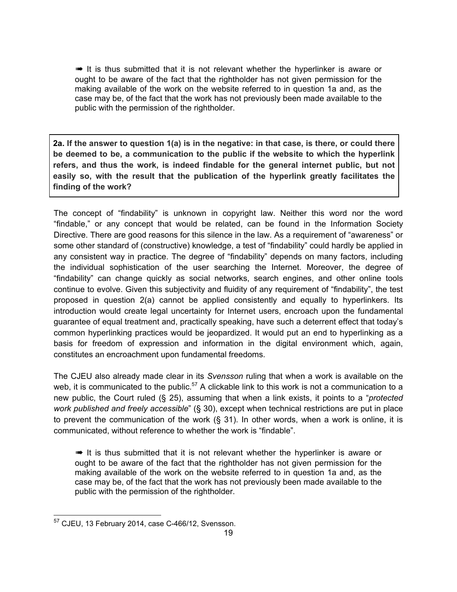➠ It is thus submitted that it is not relevant whether the hyperlinker is aware or ought to be aware of the fact that the rightholder has not given permission for the making available of the work on the website referred to in question 1a and, as the case may be, of the fact that the work has not previously been made available to the public with the permission of the rightholder.

**2a. If the answer to question 1(a) is in the negative: in that case, is there, or could there be deemed to be, a communication to the public if the website to which the hyperlink refers, and thus the work, is indeed findable for the general internet public, but not easily so, with the result that the publication of the hyperlink greatly facilitates the finding of the work?**

The concept of "findability" is unknown in copyright law. Neither this word nor the word "findable," or any concept that would be related, can be found in the Information Society Directive. There are good reasons for this silence in the law. As a requirement of "awareness" or some other standard of (constructive) knowledge, a test of "findability" could hardly be applied in any consistent way in practice. The degree of "findability" depends on many factors, including the individual sophistication of the user searching the Internet. Moreover, the degree of "findability" can change quickly as social networks, search engines, and other online tools continue to evolve. Given this subjectivity and fluidity of any requirement of "findability", the test proposed in question 2(a) cannot be applied consistently and equally to hyperlinkers. Its introduction would create legal uncertainty for Internet users, encroach upon the fundamental guarantee of equal treatment and, practically speaking, have such a deterrent effect that today's common hyperlinking practices would be jeopardized. It would put an end to hyperlinking as a basis for freedom of expression and information in the digital environment which, again, constitutes an encroachment upon fundamental freedoms.

The CJEU also already made clear in its *Svensson* ruling that when a work is available on the web, it is communicated to the public.<sup>57</sup> A clickable link to this work is not a communication to a new public, the Court ruled (§ 25), assuming that when a link exists, it points to a "*protected work published and freely accessible*" (§ 30), except when technical restrictions are put in place to prevent the communication of the work (§ 31). In other words, when a work is online, it is communicated, without reference to whether the work is "findable".

 $\rightarrow$  It is thus submitted that it is not relevant whether the hyperlinker is aware or ought to be aware of the fact that the rightholder has not given permission for the making available of the work on the website referred to in question 1a and, as the case may be, of the fact that the work has not previously been made available to the public with the permission of the rightholder.

 <sup>57</sup> CJEU, 13 February 2014, case C-466/12, Svensson.